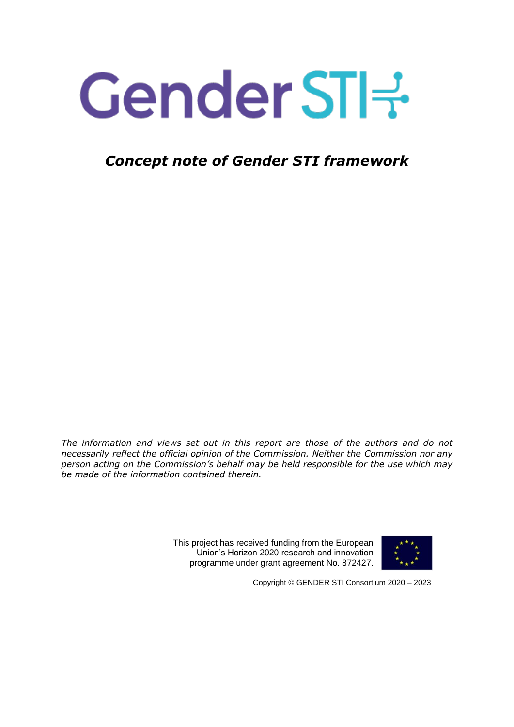# Gender STI-3

## *Concept note of Gender STI framework*

*The information and views set out in this report are those of the authors and do not necessarily reflect the official opinion of the Commission. Neither the Commission nor any person acting on the Commission's behalf may be held responsible for the use which may be made of the information contained therein.*

> This project has received funding from the European Union's Horizon 2020 research and innovation programme under grant agreement No. 872427.



Copyright © GENDER STI Consortium 2020 – 2023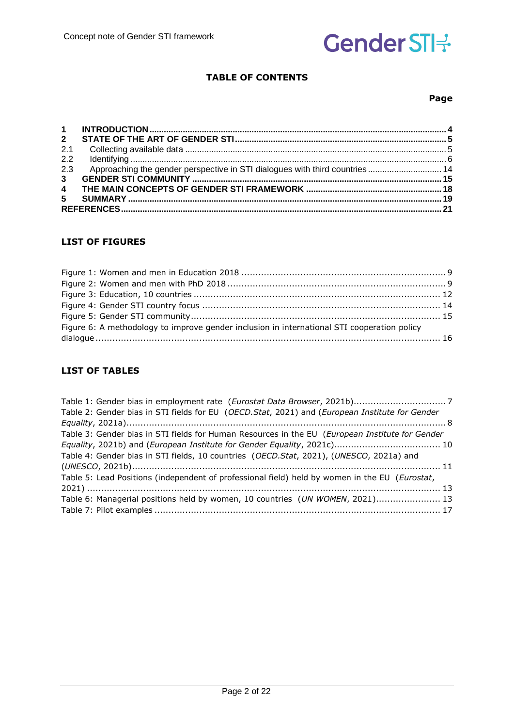#### **TABLE OF CONTENTS**

#### **Page**

| $2^{\circ}$    |                                                                             |  |
|----------------|-----------------------------------------------------------------------------|--|
| 2.1            |                                                                             |  |
| 2.2            |                                                                             |  |
| 2.3            | Approaching the gender perspective in STI dialogues with third countries 14 |  |
| 3 <sup>1</sup> |                                                                             |  |
|                |                                                                             |  |
| 5              |                                                                             |  |
|                |                                                                             |  |

#### **LIST OF FIGURES**

| Figure 6: A methodology to improve gender inclusion in international STI cooperation policy |  |
|---------------------------------------------------------------------------------------------|--|
|                                                                                             |  |
|                                                                                             |  |

#### **LIST OF TABLES**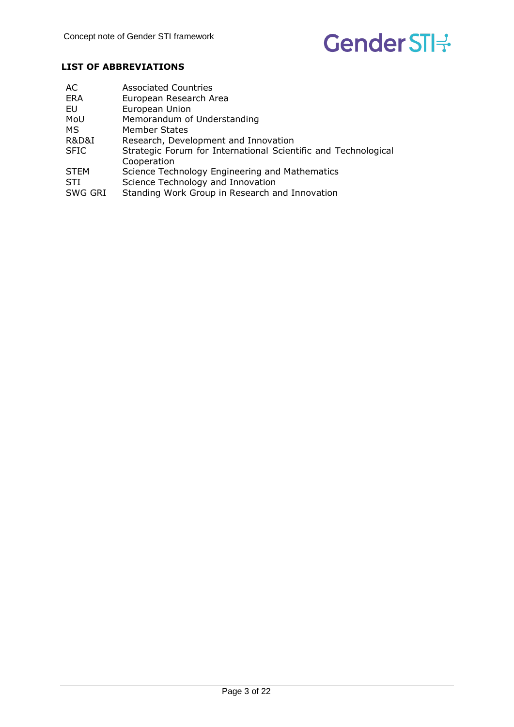#### **LIST OF ABBREVIATIONS**

| AC                   | <b>Associated Countries</b>                                    |
|----------------------|----------------------------------------------------------------|
| <b>ERA</b>           | European Research Area                                         |
| EU                   | European Union                                                 |
| MoU                  | Memorandum of Understanding                                    |
| MS.                  | <b>Member States</b>                                           |
| <b>R&amp;D&amp;I</b> | Research, Development and Innovation                           |
| <b>SFIC</b>          | Strategic Forum for International Scientific and Technological |
|                      | Cooperation                                                    |
| <b>STEM</b>          | Science Technology Engineering and Mathematics                 |
| <b>STI</b>           | Science Technology and Innovation                              |
| SWG GRI              | Standing Work Group in Research and Innovation                 |
|                      |                                                                |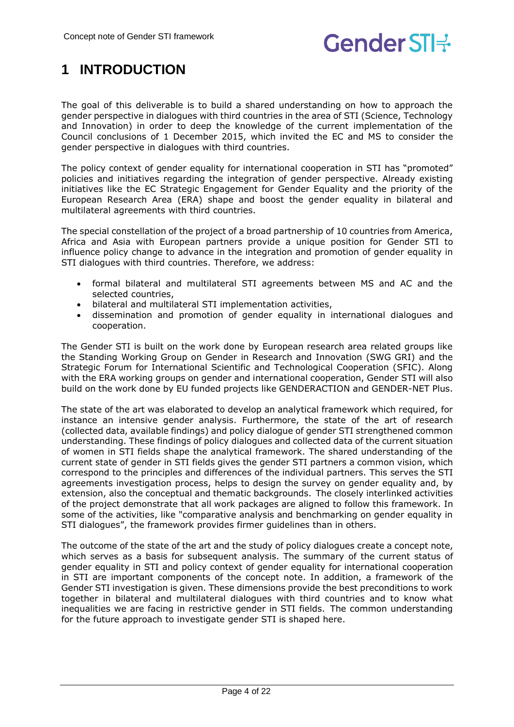## <span id="page-3-0"></span>**1 INTRODUCTION**

The goal of this deliverable is to build a shared understanding on how to approach the gender perspective in dialogues with third countries in the area of STI (Science, Technology and Innovation) in order to deep the knowledge of the current implementation of the Council conclusions of 1 December 2015, which invited the EC and MS to consider the gender perspective in dialogues with third countries.

The policy context of gender equality for international cooperation in STI has "promoted" policies and initiatives regarding the integration of gender perspective. Already existing initiatives like the EC Strategic Engagement for Gender Equality and the priority of the European Research Area (ERA) shape and boost the gender equality in bilateral and multilateral agreements with third countries.

The special constellation of the project of a broad partnership of 10 countries from America, Africa and Asia with European partners provide a unique position for Gender STI to influence policy change to advance in the integration and promotion of gender equality in STI dialogues with third countries. Therefore, we address:

- formal bilateral and multilateral STI agreements between MS and AC and the selected countries,
- bilateral and multilateral STI implementation activities,
- dissemination and promotion of gender equality in international dialogues and cooperation.

The Gender STI is built on the work done by European research area related groups like the Standing Working Group on Gender in Research and Innovation (SWG GRI) and the Strategic Forum for International Scientific and Technological Cooperation (SFIC). Along with the ERA working groups on gender and international cooperation, Gender STI will also build on the work done by EU funded projects like GENDERACTION and GENDER-NET Plus.

The state of the art was elaborated to develop an analytical framework which required, for instance an intensive gender analysis. Furthermore, the state of the art of research (collected data, available findings) and policy dialogue of gender STI strengthened common understanding. These findings of policy dialogues and collected data of the current situation of women in STI fields shape the analytical framework. The shared understanding of the current state of gender in STI fields gives the gender STI partners a common vision, which correspond to the principles and differences of the individual partners. This serves the STI agreements investigation process, helps to design the survey on gender equality and, by extension, also the conceptual and thematic backgrounds.  The closely interlinked activities of the project demonstrate that all work packages are aligned to follow this framework. In some of the activities, like "comparative analysis and benchmarking on gender equality in STI dialogues", the framework provides firmer guidelines than in others.

The outcome of the state of the art and the study of policy dialogues create a concept note, which serves as a basis for subsequent analysis. The summary of the current status of gender equality in STI and policy context of gender equality for international cooperation in STI are important components of the concept note. In addition, a framework of the Gender STI investigation is given. These dimensions provide the best preconditions to work together in bilateral and multilateral dialogues with third countries and to know what inequalities we are facing in restrictive gender in STI fields.  The common understanding for the future approach to investigate gender STI is shaped here.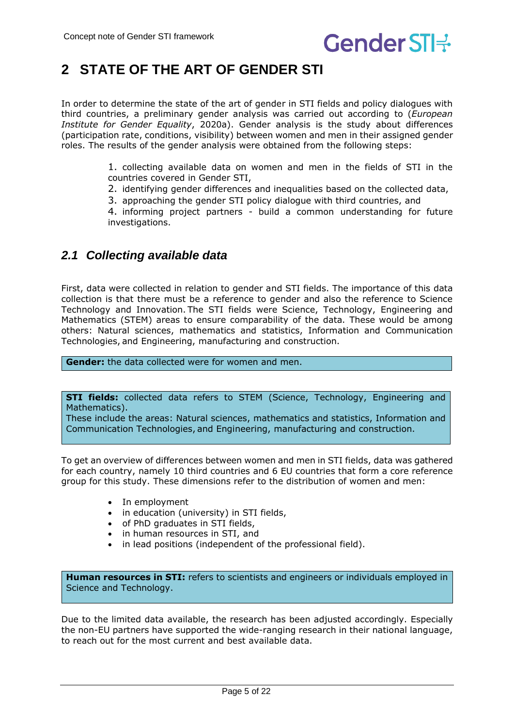## <span id="page-4-0"></span>**2 STATE OF THE ART OF GENDER STI**

In order to determine the state of the art of gender in STI fields and policy dialogues with third countries, a preliminary gender analysis was carried out according to (*European Institute for Gender Equality*, 2020a). Gender analysis is the study about differences (participation rate, conditions, visibility) between women and men in their assigned gender roles. The results of the gender analysis were obtained from the following steps: 

> 1. collecting available data on women and men in the fields of STI in the countries covered in Gender STI,

- 2. identifying gender differences and inequalities based on the collected data,
- 3. approaching the gender STI policy dialogue with third countries, and

4. informing project partners - build a common understanding for future investigations.

### <span id="page-4-1"></span>*2.1 Collecting available data*

First, data were collected in relation to gender and STI fields. The importance of this data collection is that there must be a reference to gender and also the reference to Science Technology and Innovation. The STI fields were Science, Technology, Engineering and Mathematics (STEM) areas to ensure comparability of the data. These would be among others: Natural sciences, mathematics and statistics, Information and Communication Technologies, and Engineering, manufacturing and construction.

**Gender:** the data collected were for women and men. 

**STI fields:** collected data refers to STEM (Science, Technology, Engineering and Mathematics).

These include the areas: Natural sciences, mathematics and statistics, Information and Communication Technologies, and Engineering, manufacturing and construction.

To get an overview of differences between women and men in STI fields, data was gathered for each country, namely 10 third countries and 6 EU countries that form a core reference group for this study. These dimensions refer to the distribution of women and men: 

- In employment
- in education (university) in STI fields,
- of PhD graduates in STI fields,
- in human resources in STI, and
- in lead positions (independent of the professional field).

**Human resources in STI:** refers to scientists and engineers or individuals employed in Science and Technology. 

Due to the limited data available, the research has been adjusted accordingly. Especially the non-EU partners have supported the wide-ranging research in their national language, to reach out for the most current and best available data.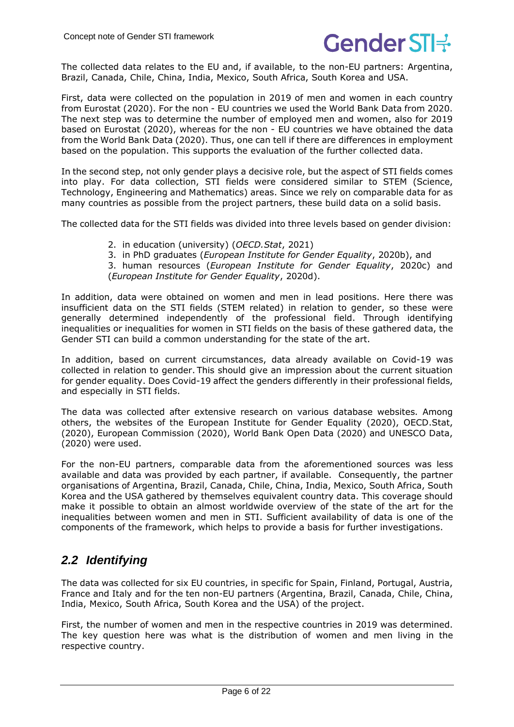

The collected data relates to the EU and, if available, to the non-EU partners: Argentina, Brazil, Canada, Chile, China, India, Mexico, South Africa, South Korea and USA. 

First, data were collected on the population in 2019 of men and women in each country from Eurostat (2020). For the non - EU countries we used the World Bank Data from 2020. The next step was to determine the number of employed men and women, also for 2019 based on Eurostat (2020), whereas for the non - EU countries we have obtained the data from the World Bank Data (2020). Thus, one can tell if there are differences in employment based on the population. This supports the evaluation of the further collected data.

In the second step, not only gender plays a decisive role, but the aspect of STI fields comes into play. For data collection, STI fields were considered similar to STEM (Science, Technology, Engineering and Mathematics) areas. Since we rely on comparable data for as many countries as possible from the project partners, these build data on a solid basis. 

The collected data for the STI fields was divided into three levels based on gender division: 

- 2. in education (university) (*OECD.Stat*, 2021)
- 3. in PhD graduates (*European Institute for Gender Equality*, 2020b), and

3. human resources (*European Institute for Gender Equality*, 2020c) and (*European Institute for Gender Equality*, 2020d).

In addition, data were obtained on women and men in lead positions. Here there was insufficient data on the STI fields (STEM related) in relation to gender, so these were generally determined independently of the professional field. Through identifying inequalities or inequalities for women in STI fields on the basis of these gathered data, the Gender STI can build a common understanding for the state of the art. 

In addition, based on current circumstances, data already available on Covid-19 was collected in relation to gender. This should give an impression about the current situation for gender equality. Does Covid-19 affect the genders differently in their professional fields, and especially in STI fields.

The data was collected after extensive research on various database websites. Among others, the websites of the European Institute for Gender Equality (2020), OECD.Stat, (2020), European Commission (2020), World Bank Open Data (2020) and UNESCO Data, (2020) were used. 

For the non-EU partners, comparable data from the aforementioned sources was less available and data was provided by each partner, if available. Consequently, the partner organisations of Argentina, Brazil, Canada, Chile, China, India, Mexico, South Africa, South Korea and the USA gathered by themselves equivalent country data. This coverage should make it possible to obtain an almost worldwide overview of the state of the art for the inequalities between women and men in STI. Sufficient availability of data is one of the components of the framework, which helps to provide a basis for further investigations.

### <span id="page-5-0"></span>*2.2 Identifying*

The data was collected for six EU countries, in specific for Spain, Finland, Portugal, Austria, France and Italy and for the ten non-EU partners (Argentina, Brazil, Canada, Chile, China, India, Mexico, South Africa, South Korea and the USA) of the project.

First, the number of women and men in the respective countries in 2019 was determined. The key question here was what is the distribution of women and men living in the respective country.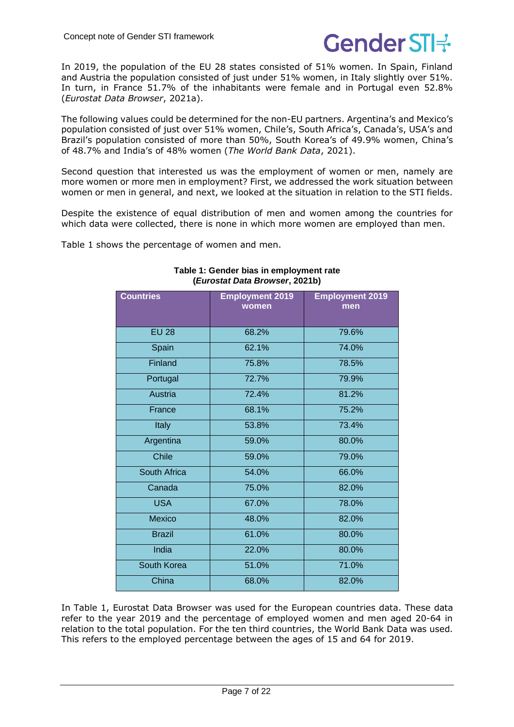

In 2019, the population of the EU 28 states consisted of 51% women. In Spain, Finland and Austria the population consisted of just under 51% women, in Italy slightly over 51%. In turn, in France 51.7% of the inhabitants were female and in Portugal even 52.8% (*Eurostat Data Browser*, 2021a).

The following values could be determined for the non-EU partners. Argentina's and Mexico's population consisted of just over 51% women, Chile's, South Africa's, Canada's, USA's and Brazil's population consisted of more than 50%, South Korea's of 49.9% women, China's of 48.7% and India's of 48% women (*The World Bank Data*, 2021).

Second question that interested us was the employment of women or men, namely are more women or more men in employment? First, we addressed the work situation between women or men in general, and next, we looked at the situation in relation to the STI fields.

Despite the existence of equal distribution of men and women among the countries for which data were collected, there is none in which more women are employed than men.

<span id="page-6-0"></span>[Table](#page-6-0) 1 shows the percentage of women and men.

| <b>Countries</b> | <b>Employment 2019</b><br>women | <b>Employment 2019</b><br>men |
|------------------|---------------------------------|-------------------------------|
| <b>EU 28</b>     | 68.2%                           | 79.6%                         |
| Spain            | 62.1%                           | 74.0%                         |
| Finland          | 75.8%                           | 78.5%                         |
| Portugal         | 72.7%                           | 79.9%                         |
| Austria          | 72.4%                           | 81.2%                         |
| France           | 68.1%                           | 75.2%                         |
| <b>Italy</b>     | 53.8%                           | 73.4%                         |
| Argentina        | 59.0%                           | 80.0%                         |
| <b>Chile</b>     | 59.0%                           | 79.0%                         |
| South Africa     | 54.0%                           | 66.0%                         |
| Canada           | 75.0%                           | 82.0%                         |
| <b>USA</b>       | 67.0%                           | 78.0%                         |
| <b>Mexico</b>    | 48.0%                           | 82.0%                         |
| <b>Brazil</b>    | 61.0%                           | 80.0%                         |
| India            | 22.0%                           | 80.0%                         |
| South Korea      | 51.0%                           | 71.0%                         |
| China            | 68.0%                           | 82.0%                         |

#### **Table 1: Gender bias in employment rate (***Eurostat Data Browser***, 2021b)**

In [Table](#page-6-0) 1, Eurostat Data Browser was used for the European countries data. These data refer to the year 2019 and the percentage of employed women and men aged 20-64 in relation to the total population. For the ten third countries, the World Bank Data was used. This refers to the employed percentage between the ages of 15 and 64 for 2019.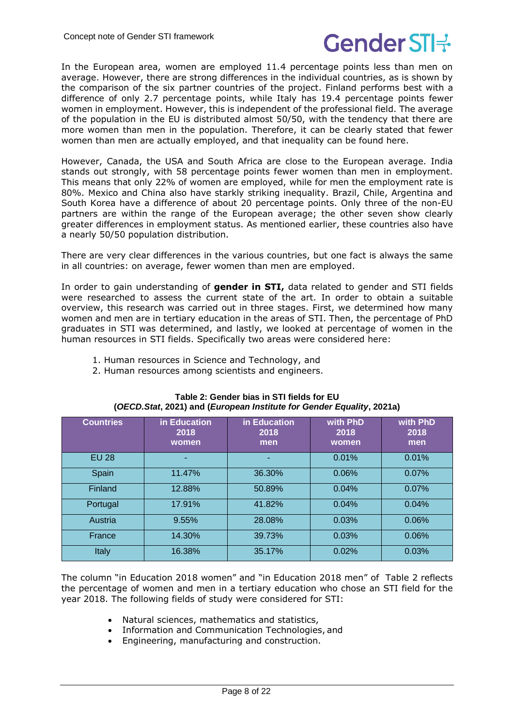In the European area, women are employed 11.4 percentage points less than men on average. However, there are strong differences in the individual countries, as is shown by the comparison of the six partner countries of the project. Finland performs best with a difference of only 2.7 percentage points, while Italy has 19.4 percentage points fewer women in employment. However, this is independent of the professional field. The average of the population in the EU is distributed almost 50/50, with the tendency that there are more women than men in the population. Therefore, it can be clearly stated that fewer women than men are actually employed, and that inequality can be found here.

However, Canada, the USA and South Africa are close to the European average. India stands out strongly, with 58 percentage points fewer women than men in employment. This means that only 22% of women are employed, while for men the employment rate is 80%. Mexico and China also have starkly striking inequality. Brazil, Chile, Argentina and South Korea have a difference of about 20 percentage points. Only three of the non-EU partners are within the range of the European average; the other seven show clearly greater differences in employment status. As mentioned earlier, these countries also have a nearly 50/50 population distribution. 

There are very clear differences in the various countries, but one fact is always the same in all countries: on average, fewer women than men are employed.

In order to gain understanding of **gender in STI,** data related to gender and STI fields were researched to assess the current state of the art. In order to obtain a suitable overview, this research was carried out in three stages. First, we determined how many women and men are in tertiary education in the areas of STI. Then, the percentage of PhD graduates in STI was determined, and lastly, we looked at percentage of women in the human resources in STI fields. Specifically two areas were considered here: 

- 1. Human resources in Science and Technology, and
- 2. Human resources among scientists and engineers.

<span id="page-7-0"></span>

| <b>Countries</b> | in Education<br>2018<br>women | in Education<br>2018<br>men | with PhD<br>2018<br>women | with PhD<br>2018<br>men |
|------------------|-------------------------------|-----------------------------|---------------------------|-------------------------|
| <b>EU 28</b>     |                               |                             | 0.01%                     | 0.01%                   |
| Spain            | 11.47%                        | 36.30%                      | 0.06%                     | 0.07%                   |
| Finland          | 12.88%                        | 50.89%                      | 0.04%                     | 0.07%                   |
| Portugal         | 17.91%                        | 41.82%                      | 0.04%                     | 0.04%                   |
| Austria          | 9.55%                         | 28.08%                      | 0.03%                     | 0.06%                   |
| France           | 14.30%                        | 39.73%                      | 0.03%                     | 0.06%                   |
| Italy            | 16.38%                        | 35.17%                      | 0.02%                     | 0.03%                   |

#### **Table 2: Gender bias in STI fields for EU (***OECD.Stat***, 2021) and (***European Institute for Gender Equality***, 2021a)**

The column "in Education 2018 women" and "in Education 2018 men" of [Table](#page-7-0) 2 reflects the percentage of women and men in a tertiary education who chose an STI field for the year 2018. The following fields of study were considered for STI: 

- Natural sciences, mathematics and statistics,
- Information and Communication Technologies, and
- Engineering, manufacturing and construction.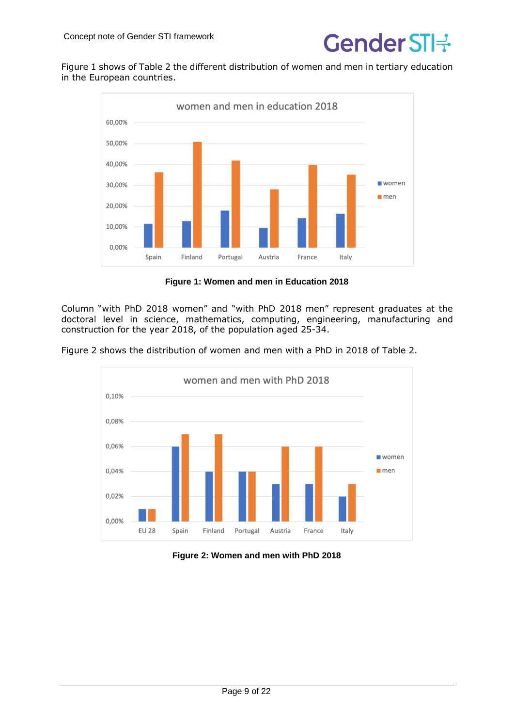

Figure 1 shows of [Table](#page-7-0) 2 the different distribution of women and men in tertiary education in the European countries.



**Figure 1: Women and men in Education 2018**

Column "with PhD 2018 women" and "with PhD 2018 men" represent graduates at the doctoral level in science, mathematics, computing, engineering, manufacturing and construction for the year 2018, of the population aged 25-34.

Figure 2 shows the distribution of women and men with a PhD in 2018 of [Table](#page-7-0) 2.



#### **Figure 2: Women and men with PhD 2018**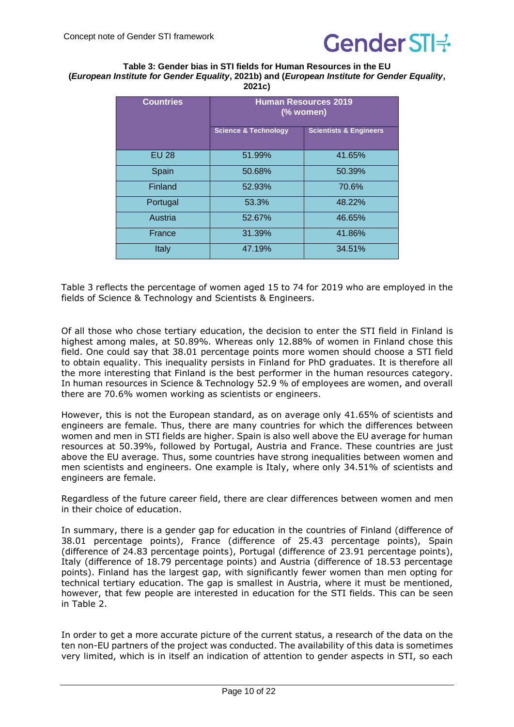

#### <span id="page-9-0"></span>**Table 3: Gender bias in STI fields for Human Resources in the EU (***European Institute for Gender Equality***, 2021b) and (***European Institute for Gender Equality***, 2021c)**

| <b>Countries</b> | <b>Human Resources 2019</b><br>(% women) |                                   |
|------------------|------------------------------------------|-----------------------------------|
|                  | <b>Science &amp; Technology</b>          | <b>Scientists &amp; Engineers</b> |
| <b>EU 28</b>     | 51.99%                                   | 41.65%                            |
| Spain            | 50.68%                                   | 50.39%                            |
| Finland          | 52.93%                                   | 70.6%                             |
| Portugal         | 53.3%                                    | 48.22%                            |
| Austria          | 52.67%                                   | 46.65%                            |
| France           | 31.39%                                   | 41.86%                            |
| Italy            | 47.19%                                   | 34.51%                            |

Table 3 reflects the percentage of women aged 15 to 74 for 2019 who are employed in the fields of Science & Technology and Scientists & Engineers.

Of all those who chose tertiary education, the decision to enter the STI field in Finland is highest among males, at 50.89%. Whereas only 12.88% of women in Finland chose this field. One could say that 38.01 percentage points more women should choose a STI field to obtain equality. This inequality persists in Finland for PhD graduates. It is therefore all the more interesting that Finland is the best performer in the human resources category. In human resources in Science & Technology 52.9 % of employees are women, and overall there are 70.6% women working as scientists or engineers.

However, this is not the European standard, as on average only 41.65% of scientists and engineers are female. Thus, there are many countries for which the differences between women and men in STI fields are higher. Spain is also well above the EU average for human resources at 50.39%, followed by Portugal, Austria and France. These countries are just above the EU average. Thus, some countries have strong inequalities between women and men scientists and engineers. One example is Italy, where only 34.51% of scientists and engineers are female.

Regardless of the future career field, there are clear differences between women and men in their choice of education.

In summary, there is a gender gap for education in the countries of Finland (difference of 38.01 percentage points), France (difference of 25.43 percentage points), Spain (difference of 24.83 percentage points), Portugal (difference of 23.91 percentage points), Italy (difference of 18.79 percentage points) and Austria (difference of 18.53 percentage points). Finland has the largest gap, with significantly fewer women than men opting for technical tertiary education. The gap is smallest in Austria, where it must be mentioned, however, that few people are interested in education for the STI fields. This can be seen in [Table](#page-7-0) 2.

In order to get a more accurate picture of the current status, a research of the data on the ten non-EU partners of the project was conducted. The availability of this data is sometimes very limited, which is in itself an indication of attention to gender aspects in STI, so each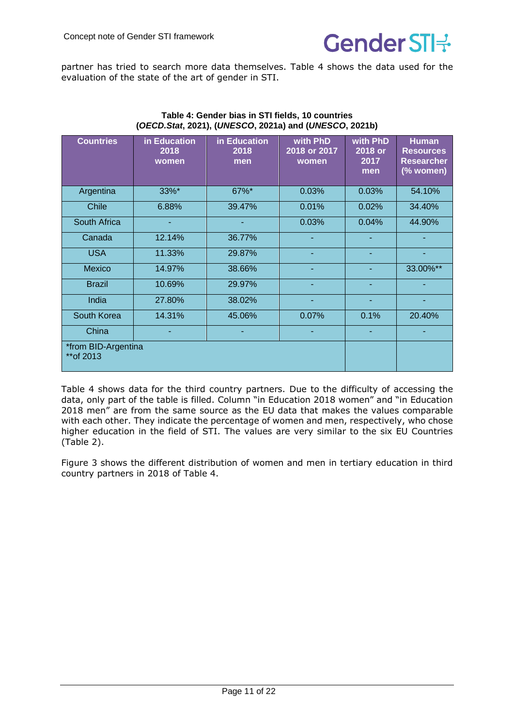

partner has tried to search more data themselves. [Table](#page-10-0) 4 shows the data used for the evaluation of the state of the art of gender in STI. 

<span id="page-10-0"></span>

| <b>Countries</b>                  | in Education<br>2018<br>women | in Education<br>2018<br>men | with PhD<br>2018 or 2017<br>women | with PhD<br>2018 or<br>2017<br>men | <b>Human</b><br><b>Resources</b><br><b>Researcher</b><br>(% women) |
|-----------------------------------|-------------------------------|-----------------------------|-----------------------------------|------------------------------------|--------------------------------------------------------------------|
| Argentina                         | 33%*                          | 67%*                        | 0.03%                             | 0.03%                              | 54.10%                                                             |
| <b>Chile</b>                      | 6.88%                         | 39.47%                      | 0.01%                             | 0.02%                              | 34.40%                                                             |
| South Africa                      |                               | ٠                           | 0.03%                             | 0.04%                              | 44.90%                                                             |
| Canada                            | 12.14%                        | 36.77%                      |                                   |                                    |                                                                    |
| <b>USA</b>                        | 11.33%                        | 29.87%                      |                                   |                                    |                                                                    |
| <b>Mexico</b>                     | 14.97%                        | 38.66%                      |                                   |                                    | 33.00%**                                                           |
| <b>Brazil</b>                     | 10.69%                        | 29.97%                      |                                   |                                    |                                                                    |
| India                             | 27.80%                        | 38.02%                      |                                   | ٠                                  |                                                                    |
| South Korea                       | 14.31%                        | 45.06%                      | 0.07%                             | 0.1%                               | 20.40%                                                             |
| China                             |                               |                             |                                   |                                    |                                                                    |
| *from BID-Argentina<br>** of 2013 |                               |                             |                                   |                                    |                                                                    |

#### **Table 4: Gender bias in STI fields, 10 countries (***OECD.Stat***, 2021), (***UNESCO***, 2021a) and (***UNESCO***, 2021b)**

[Table](#page-10-0) 4 shows data for the third country partners. Due to the difficulty of accessing the data, only part of the table is filled. Column "in Education 2018 women" and "in Education 2018 men" are from the same source as the EU data that makes the values comparable with each other. They indicate the percentage of women and men, respectively, who chose higher education in the field of STI. The values are very similar to the six EU Countries [\(Table](#page-7-0) 2).

Figure 3 shows the different distribution of women and men in tertiary education in third country partners in 2018 of [Table](#page-10-0) 4.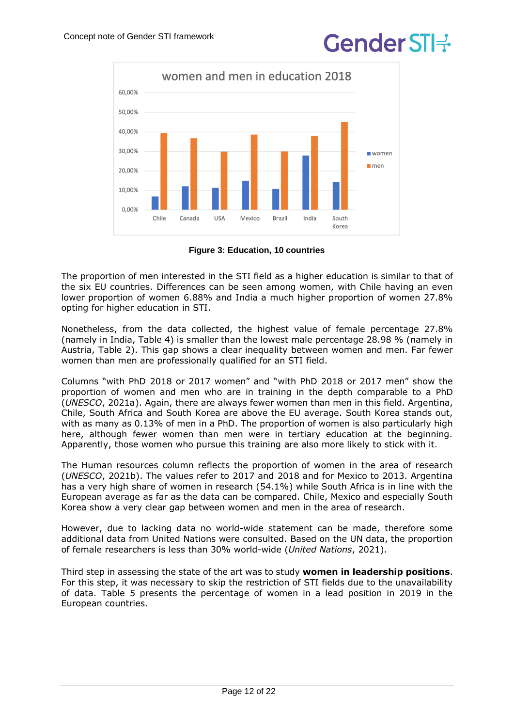

**Figure 3: Education, 10 countries**

The proportion of men interested in the STI field as a higher education is similar to that of the six EU countries. Differences can be seen among women, with Chile having an even lower proportion of women 6.88% and India a much higher proportion of women 27.8% opting for higher education in STI. 

Nonetheless, from the data collected, the highest value of female percentage 27.8% (namely in India, [Table](#page-10-0) 4) is smaller than the lowest male percentage 28.98 % (namely in Austria, [Table](#page-7-0) 2). This gap shows a clear inequality between women and men. Far fewer women than men are professionally qualified for an STI field. 

Columns "with PhD 2018 or 2017 women" and "with PhD 2018 or 2017 men" show the proportion of women and men who are in training in the depth comparable to a PhD (*UNESCO*, 2021a). Again, there are always fewer women than men in this field. Argentina, Chile, South Africa and South Korea are above the EU average. South Korea stands out, with as many as 0.13% of men in a PhD. The proportion of women is also particularly high here, although fewer women than men were in tertiary education at the beginning. Apparently, those women who pursue this training are also more likely to stick with it. 

The Human resources column reflects the proportion of women in the area of research (*UNESCO*, 2021b). The values refer to 2017 and 2018 and for Mexico to 2013. Argentina has a very high share of women in research (54.1%) while South Africa is in line with the European average as far as the data can be compared. Chile, Mexico and especially South Korea show a very clear gap between women and men in the area of research.

However, due to lacking data no world-wide statement can be made, therefore some additional data from United Nations were consulted. Based on the UN data, the proportion of female researchers is less than 30% world-wide (*United Nations*, 2021).

Third step in assessing the state of the art was to study **women in leadership positions**. For this step, it was necessary to skip the restriction of STI fields due to the unavailability of data. [Table](#page-12-0) 5 presents the percentage of women in a lead position in 2019 in the European countries.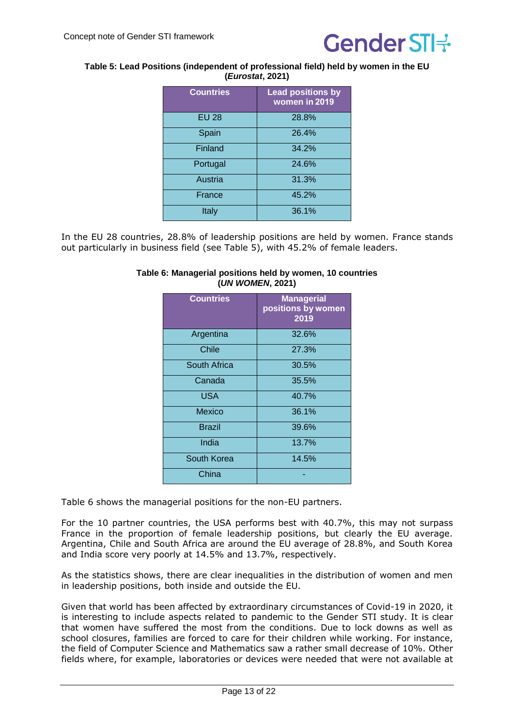

#### <span id="page-12-0"></span>**Table 5: Lead Positions (independent of professional field) held by women in the EU (***Eurostat***, 2021)**

| <b>Countries</b> | <b>Lead positions by</b><br>women in 2019 |
|------------------|-------------------------------------------|
| <b>EU 28</b>     | 28.8%                                     |
| Spain            | 26.4%                                     |
| Finland          | 34.2%                                     |
| Portugal         | 24.6%                                     |
| Austria          | 31.3%                                     |
| France           | 45.2%                                     |
| Italy            | 36.1%                                     |

<span id="page-12-1"></span>In the EU 28 countries, 28.8% of leadership positions are held by women. France stands out particularly in business field (see [Table](#page-12-0) 5), with 45.2% of female leaders.

| <b>Countries</b> | <b>Managerial</b><br>positions by women<br>2019 |
|------------------|-------------------------------------------------|
| Argentina        | 32.6%                                           |
| Chile            | 27.3%                                           |
| South Africa     | 30.5%                                           |
| Canada           | 35.5%                                           |
| <b>USA</b>       | 40.7%                                           |
| Mexico           | 36.1%                                           |
| <b>Brazil</b>    | 39.6%                                           |
| India            | 13.7%                                           |
| South Korea      | 14.5%                                           |
| China            |                                                 |

#### **Table 6: Managerial positions held by women, 10 countries (***UN WOMEN***, 2021)**

[Table](#page-12-1) 6 shows the managerial positions for the non-EU partners.

For the 10 partner countries, the USA performs best with 40.7%, this may not surpass France in the proportion of female leadership positions, but clearly the EU average. Argentina, Chile and South Africa are around the EU average of 28.8%, and South Korea and India score very poorly at 14.5% and 13.7%, respectively. 

As the statistics shows, there are clear inequalities in the distribution of women and men in leadership positions, both inside and outside the EU. 

Given that world has been affected by extraordinary circumstances of Covid-19 in 2020, it is interesting to include aspects related to pandemic to the Gender STI study. It is clear that women have suffered the most from the conditions. Due to lock downs as well as school closures, families are forced to care for their children while working. For instance, the field of Computer Science and Mathematics saw a rather small decrease of 10%. Other fields where, for example, laboratories or devices were needed that were not available at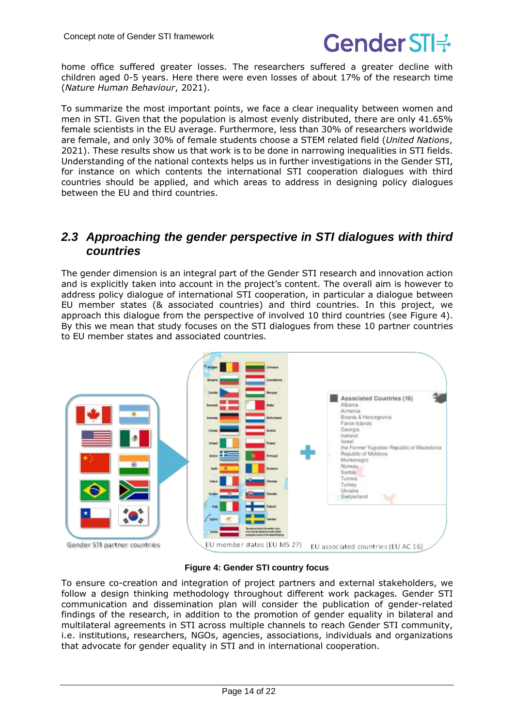

home office suffered greater losses. The researchers suffered a greater decline with children aged 0-5 years. Here there were even losses of about 17% of the research time (*Nature Human Behaviour*, 2021).

To summarize the most important points, we face a clear inequality between women and men in STI. Given that the population is almost evenly distributed, there are only 41.65% female scientists in the EU average. Furthermore, less than 30% of researchers worldwide are female, and only 30% of female students choose a STEM related field (*United Nations*, 2021). These results show us that work is to be done in narrowing inequalities in STI fields. Understanding of the national contexts helps us in further investigations in the Gender STI, for instance on which contents the international STI cooperation dialogues with third countries should be applied, and which areas to address in designing policy dialogues between the EU and third countries.

#### <span id="page-13-0"></span>*2.3 Approaching the gender perspective in STI dialogues with third countries*

The gender dimension is an integral part of the Gender STI research and innovation action and is explicitly taken into account in the project's content. The overall aim is however to address policy dialogue of international STI cooperation, in particular a dialogue between EU member states (& associated countries) and third countries. In this project, we approach this dialogue from the perspective of involved 10 third countries (see [Figure](#page-13-1) 4). By this we mean that study focuses on the STI dialogues from these 10 partner countries to EU member states and associated countries.



**Figure 4: Gender STI country focus**

<span id="page-13-1"></span>To ensure co-creation and integration of project partners and external stakeholders, we follow a design thinking methodology throughout different work packages. Gender STI communication and dissemination plan will consider the publication of gender-related findings of the research, in addition to the promotion of gender equality in bilateral and multilateral agreements in STI across multiple channels to reach Gender STI community, i.e. institutions, researchers, NGOs, agencies, associations, individuals and organizations that advocate for gender equality in STI and in international cooperation.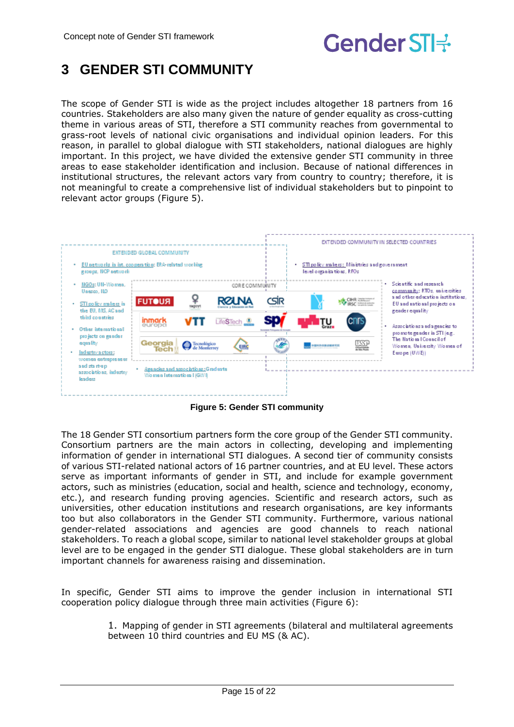

## <span id="page-14-0"></span>**3 GENDER STI COMMUNITY**

The scope of Gender STI is wide as the project includes altogether 18 partners from 16 countries. Stakeholders are also many given the nature of gender equality as cross-cutting theme in various areas of STI, therefore a STI community reaches from governmental to grass-root levels of national civic organisations and individual opinion leaders. For this reason, in parallel to global dialogue with STI stakeholders, national dialogues are highly important. In this project, we have divided the extensive gender STI community in three areas to ease stakeholder identification and inclusion. Because of national differences in institutional structures, the relevant actors vary from country to country; therefore, it is not meaningful to create a comprehensive list of individual stakeholders but to pinpoint to relevant actor groups [\(Figure](#page-14-1) 5).



**Figure 5: Gender STI community**

<span id="page-14-1"></span>The 18 Gender STI consortium partners form the core group of the Gender STI community. Consortium partners are the main actors in collecting, developing and implementing information of gender in international STI dialogues. A second tier of community consists of various STI-related national actors of 16 partner countries, and at EU level. These actors serve as important informants of gender in STI, and include for example government actors, such as ministries (education, social and health, science and technology, economy, etc.), and research funding proving agencies. Scientific and research actors, such as universities, other education institutions and research organisations, are key informants too but also collaborators in the Gender STI community. Furthermore, various national gender-related associations and agencies are good channels to reach national stakeholders. To reach a global scope, similar to national level stakeholder groups at global level are to be engaged in the gender STI dialogue. These global stakeholders are in turn important channels for awareness raising and dissemination.

In specific, Gender STI aims to improve the gender inclusion in international STI cooperation policy dialogue through three main activities [\(Figure](#page-15-0) 6):

> 1. Mapping of gender in STI agreements (bilateral and multilateral agreements between 10 third countries and EU MS (& AC).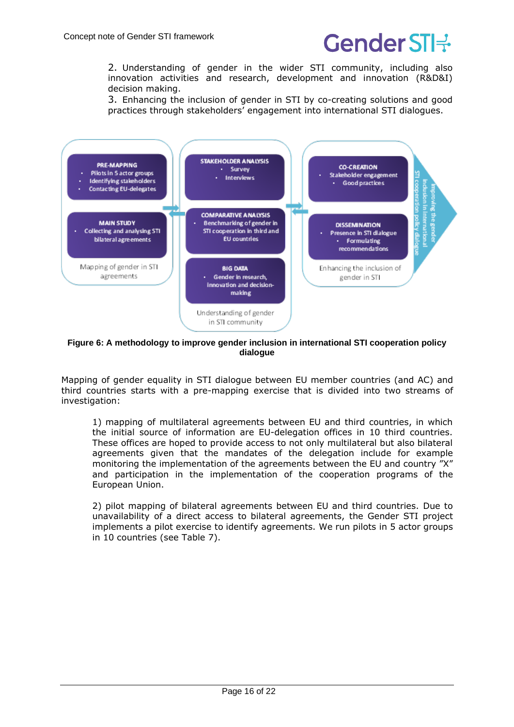2. Understanding of gender in the wider STI community, including also innovation activities and research, development and innovation (R&D&I) decision making.

3. Enhancing the inclusion of gender in STI by co-creating solutions and good practices through stakeholders' engagement into international STI dialogues.



<span id="page-15-0"></span>**Figure 6: A methodology to improve gender inclusion in international STI cooperation policy dialogue**

Mapping of gender equality in STI dialogue between EU member countries (and AC) and third countries starts with a pre-mapping exercise that is divided into two streams of investigation:

1) mapping of multilateral agreements between EU and third countries, in which the initial source of information are EU-delegation offices in 10 third countries. These offices are hoped to provide access to not only multilateral but also bilateral agreements given that the mandates of the delegation include for example monitoring the implementation of the agreements between the EU and country "X" and participation in the implementation of the cooperation programs of the European Union.

2) pilot mapping of bilateral agreements between EU and third countries. Due to unavailability of a direct access to bilateral agreements, the Gender STI project implements a pilot exercise to identify agreements. We run pilots in 5 actor groups in 10 countries (see Table 7).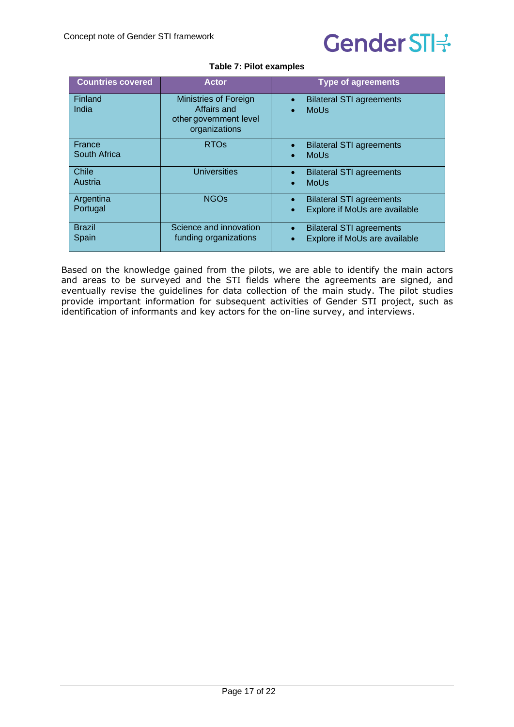

| <b>Table 7: Pilot examples</b> |  |  |
|--------------------------------|--|--|
|                                |  |  |

<span id="page-16-0"></span>

| <b>Countries covered</b> | <b>Actor</b>                                                                    | <b>Type of agreements</b>                                                                  |
|--------------------------|---------------------------------------------------------------------------------|--------------------------------------------------------------------------------------------|
| Finland<br>India         | Ministries of Foreign<br>Affairs and<br>other government level<br>organizations | <b>Bilateral STI agreements</b><br>$\bullet$<br><b>MoUs</b><br>$\bullet$                   |
| France<br>South Africa   | <b>RTOs</b>                                                                     | <b>Bilateral STI agreements</b><br>$\bullet$<br><b>MoUs</b><br>$\bullet$                   |
| Chile<br>Austria         | <b>Universities</b>                                                             | <b>Bilateral STI agreements</b><br>$\bullet$<br><b>MoUs</b><br>$\bullet$                   |
| Argentina<br>Portugal    | <b>NGOs</b>                                                                     | <b>Bilateral STI agreements</b><br>$\bullet$<br>Explore if MoUs are available<br>$\bullet$ |
| <b>Brazil</b><br>Spain   | Science and innovation<br>funding organizations                                 | <b>Bilateral STI agreements</b><br>$\bullet$<br>Explore if MoUs are available<br>$\bullet$ |

Based on the knowledge gained from the pilots, we are able to identify the main actors and areas to be surveyed and the STI fields where the agreements are signed, and eventually revise the guidelines for data collection of the main study. The pilot studies provide important information for subsequent activities of Gender STI project, such as identification of informants and key actors for the on-line survey, and interviews.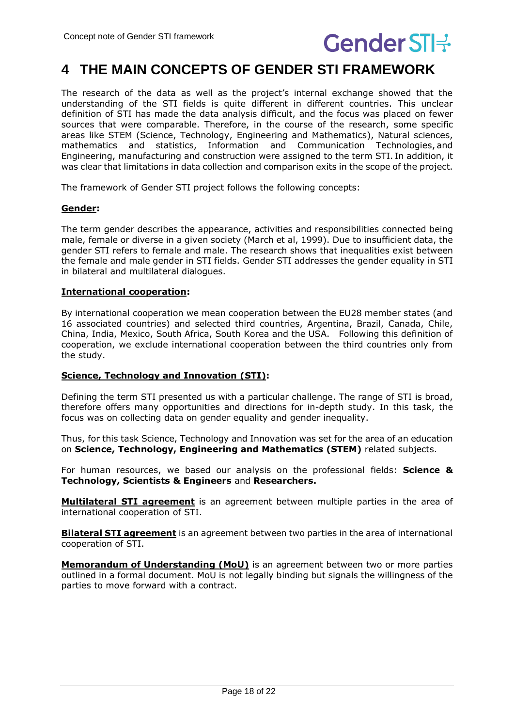

## <span id="page-17-0"></span>**4 THE MAIN CONCEPTS OF GENDER STI FRAMEWORK**

The research of the data as well as the project's internal exchange showed that the understanding of the STI fields is quite different in different countries. This unclear definition of STI has made the data analysis difficult, and the focus was placed on fewer sources that were comparable. Therefore, in the course of the research, some specific areas like STEM (Science, Technology, Engineering and Mathematics), Natural sciences, mathematics and statistics, Information and Communication Technologies, and Engineering, manufacturing and construction were assigned to the term STI. In addition, it was clear that limitations in data collection and comparison exits in the scope of the project.

The framework of Gender STI project follows the following concepts:

#### **Gender:**

The term gender describes the appearance, activities and responsibilities connected being male, female or diverse in a given society (March et al, 1999). Due to insufficient data, the gender STI refers to female and male. The research shows that inequalities exist between the female and male gender in STI fields. Gender STI addresses the gender equality in STI in bilateral and multilateral dialogues.

#### **International cooperation:**

By international cooperation we mean cooperation between the EU28 member states (and 16 associated countries) and selected third countries, Argentina, Brazil, Canada, Chile, China, India, Mexico, South Africa, South Korea and the USA. Following this definition of cooperation, we exclude international cooperation between the third countries only from the study.

#### **Science, Technology and Innovation (STI):**

Defining the term STI presented us with a particular challenge. The range of STI is broad, therefore offers many opportunities and directions for in-depth study. In this task, the focus was on collecting data on gender equality and gender inequality. 

Thus, for this task Science, Technology and Innovation was set for the area of an education on **Science, Technology, Engineering and Mathematics (STEM)** related subjects.

For human resources, we based our analysis on the professional fields: **Science & Technology, Scientists & Engineers** and **Researchers.**

**Multilateral STI agreement** is an agreement between multiple parties in the area of international cooperation of STI.

**Bilateral STI agreement** is an agreement between two parties in the area of international cooperation of STI.

**Memorandum of Understanding (MoU)** is an agreement between two or more parties outlined in a formal document. MoU is not legally binding but signals the willingness of the parties to move forward with a contract.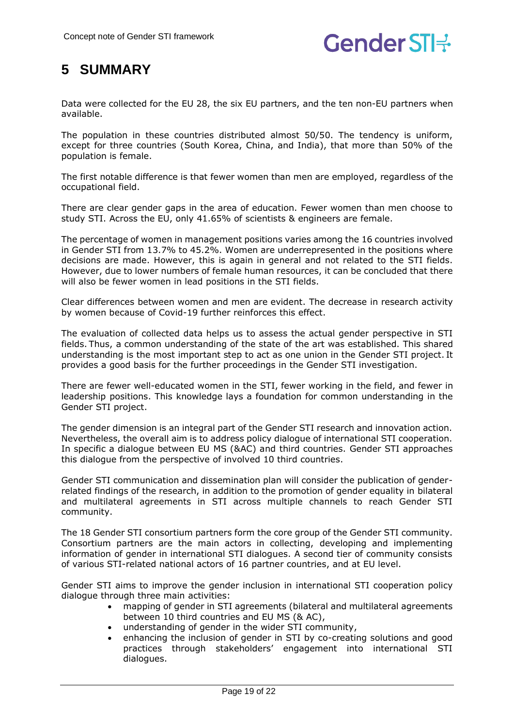## <span id="page-18-0"></span>**5 SUMMARY**

Data were collected for the EU 28, the six EU partners, and the ten non-EU partners when available.

The population in these countries distributed almost 50/50. The tendency is uniform, except for three countries (South Korea, China, and India), that more than 50% of the population is female.

The first notable difference is that fewer women than men are employed, regardless of the occupational field.

There are clear gender gaps in the area of education. Fewer women than men choose to study STI. Across the EU, only 41.65% of scientists & engineers are female.

The percentage of women in management positions varies among the 16 countries involved in Gender STI from 13.7% to 45.2%. Women are underrepresented in the positions where decisions are made. However, this is again in general and not related to the STI fields. However, due to lower numbers of female human resources, it can be concluded that there will also be fewer women in lead positions in the STI fields.  

Clear differences between women and men are evident. The decrease in research activity by women because of Covid-19 further reinforces this effect.

The evaluation of collected data helps us to assess the actual gender perspective in STI fields. Thus, a common understanding of the state of the art was established. This shared understanding is the most important step to act as one union in the Gender STI project. It provides a good basis for the further proceedings in the Gender STI investigation.

There are fewer well-educated women in the STI, fewer working in the field, and fewer in leadership positions. This knowledge lays a foundation for common understanding in the Gender STI project.

The gender dimension is an integral part of the Gender STI research and innovation action. Nevertheless, the overall aim is to address policy dialogue of international STI cooperation. In specific a dialogue between EU MS (&AC) and third countries. Gender STI approaches this dialogue from the perspective of involved 10 third countries.

Gender STI communication and dissemination plan will consider the publication of genderrelated findings of the research, in addition to the promotion of gender equality in bilateral and multilateral agreements in STI across multiple channels to reach Gender STI community.

The 18 Gender STI consortium partners form the core group of the Gender STI community. Consortium partners are the main actors in collecting, developing and implementing information of gender in international STI dialogues. A second tier of community consists of various STI-related national actors of 16 partner countries, and at EU level.

Gender STI aims to improve the gender inclusion in international STI cooperation policy dialogue through three main activities:

- mapping of gender in STI agreements (bilateral and multilateral agreements between 10 third countries and EU MS (& AC),
- understanding of gender in the wider STI community,
- enhancing the inclusion of gender in STI by co-creating solutions and good practices through stakeholders' engagement into international STI dialogues.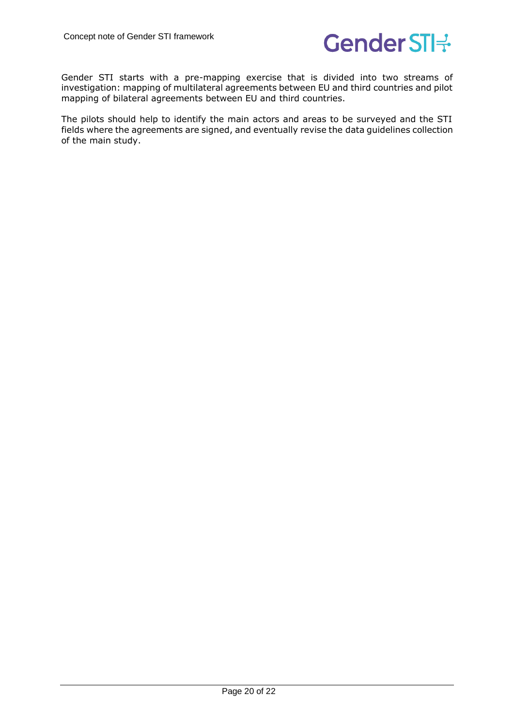

Gender STI starts with a pre-mapping exercise that is divided into two streams of investigation: mapping of multilateral agreements between EU and third countries and pilot mapping of bilateral agreements between EU and third countries.

The pilots should help to identify the main actors and areas to be surveyed and the STI fields where the agreements are signed, and eventually revise the data guidelines collection of the main study.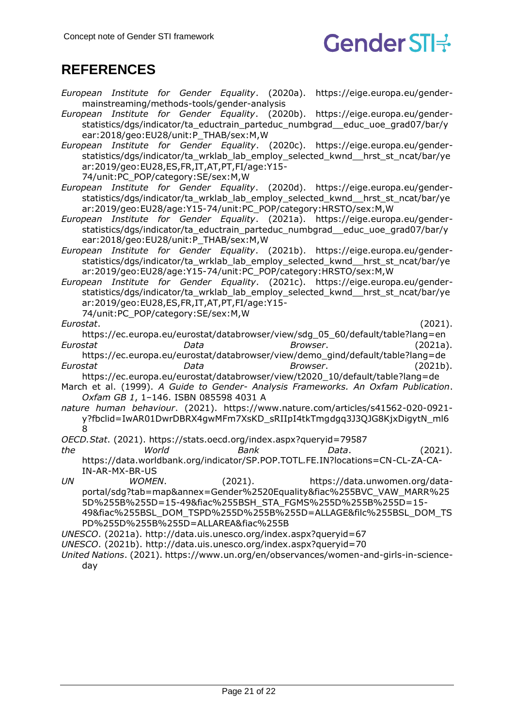

## <span id="page-20-0"></span>**REFERENCES**

- *European Institute for Gender Equality*. (2020a). https://eige.europa.eu/gendermainstreaming/methods-tools/gender-analysis
- *European Institute for Gender Equality*. (2020b). https://eige.europa.eu/genderstatistics/dgs/indicator/ta\_eductrain\_parteduc\_numbgrad\_\_educ\_uoe\_grad07/bar/y ear:2018/geo:EU28/unit:P\_THAB/sex:M,W
- *European Institute for Gender Equality*. (2020c). https://eige.europa.eu/genderstatistics/dgs/indicator/ta\_wrklab\_lab\_employ\_selected\_kwnd\_\_hrst\_st\_ncat/bar/ye ar:2019/geo:EU28,ES,FR,IT,AT,PT,FI/age:Y15-
	- 74/unit:PC\_POP/category:SE/sex:M,W
- *European Institute for Gender Equality*. (2020d). https://eige.europa.eu/genderstatistics/dgs/indicator/ta\_wrklab\_lab\_employ\_selected\_kwnd\_\_hrst\_st\_ncat/bar/ye ar:2019/geo:EU28/age:Y15-74/unit:PC\_POP/category:HRSTO/sex:M,W
- *European Institute for Gender Equality*. (2021a). https://eige.europa.eu/genderstatistics/dgs/indicator/ta\_eductrain\_parteduc\_numbgrad\_\_educ\_uoe\_grad07/bar/y ear:2018/geo:EU28/unit:P\_THAB/sex:M,W
- *European Institute for Gender Equality*. (2021b). https://eige.europa.eu/genderstatistics/dgs/indicator/ta\_wrklab\_lab\_employ\_selected\_kwnd\_\_hrst\_st\_ncat/bar/ye ar:2019/geo:EU28/age:Y15-74/unit:PC\_POP/category:HRSTO/sex:M,W
- *European Institute for Gender Equality*. (2021c). https://eige.europa.eu/genderstatistics/dgs/indicator/ta\_wrklab\_lab\_employ\_selected\_kwnd\_\_hrst\_st\_ncat/bar/ye ar:2019/geo:EU28,ES,FR,IT,AT,PT,FI/age:Y15-

74/unit:PC\_POP/category:SE/sex:M,W

*Eurostat*. (2021).

- https://ec.europa.eu/eurostat/databrowser/view/sdg\_05\_60/default/table?lang=en *Eurostat Data Browser*. (2021a). https://ec.europa.eu/eurostat/databrowser/view/demo\_gind/default/table?lang=de
- *Eurostat Data Browser*. (2021b). https://ec.europa.eu/eurostat/databrowser/view/t2020\_10/default/table?lang=de
- March et al. (1999). *A Guide to Gender- Analysis Frameworks. An Oxfam Publication*. *Oxfam GB 1*, 1–146. ISBN 085598 4031 A
- *nature human behaviour*. (2021). https://www.nature.com/articles/s41562-020-0921 y?fbclid=IwAR01DwrDBRX4gwMFm7XsKD\_sRIIpI4tkTmgdgq3J3QJG8KjxDigytN\_ml6 8
- *OECD.Stat*. (2021). https://stats.oecd.org/index.aspx?queryid=79587
- *the World Bank Data*. (2021). https://data.worldbank.org/indicator/SP.POP.TOTL.FE.IN?locations=CN-CL-ZA-CA-IN-AR-MX-BR-US
- *UN WOMEN*. (2021). https://data.unwomen.org/dataportal/sdg?tab=map&annex=Gender%2520Equality&fiac%255BVC\_VAW\_MARR%25 5D%255B%255D=15-49&fiac%255BSH\_STA\_FGMS%255D%255B%255D=15- 49&fiac%255BSL\_DOM\_TSPD%255D%255B%255D=ALLAGE&filc%255BSL\_DOM\_TS PD%255D%255B%255D=ALLAREA&fiac%255B
- *UNESCO*. (2021a). http://data.uis.unesco.org/index.aspx?queryid=67
- *UNESCO*. (2021b). http://data.uis.unesco.org/index.aspx?queryid=70
- *United Nations*. (2021). https://www.un.org/en/observances/women-and-girls-in-scienceday